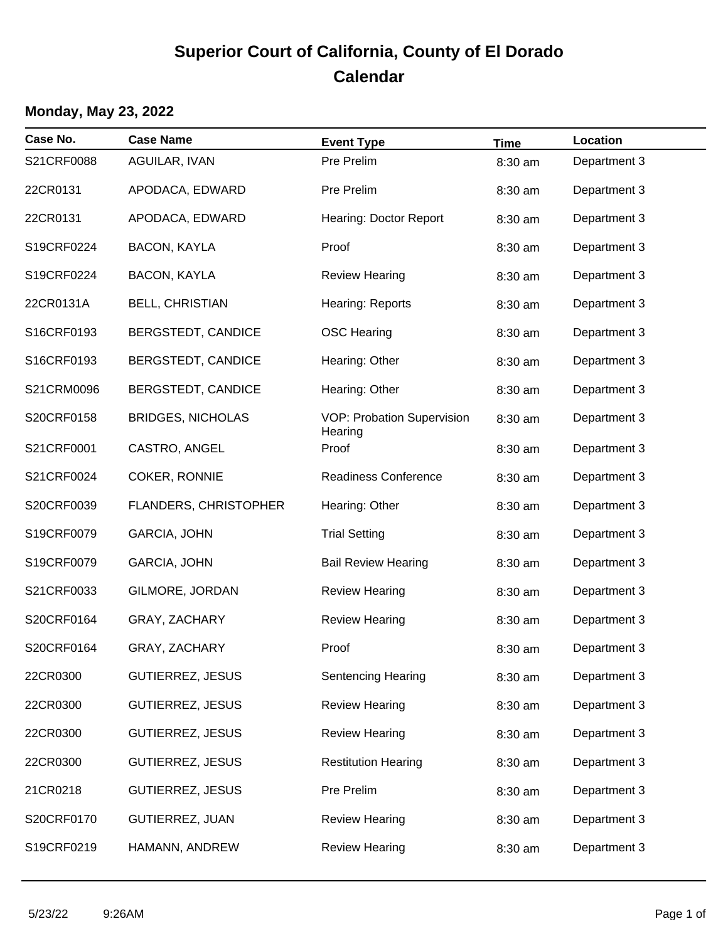# **Superior Court of California, County of El Dorado Calendar**

### **Monday, May 23, 2022**

| Case No.   | <b>Case Name</b>         | <b>Event Type</b>                            | <b>Time</b> | Location     |
|------------|--------------------------|----------------------------------------------|-------------|--------------|
| S21CRF0088 | AGUILAR, IVAN            | Pre Prelim                                   | 8:30 am     | Department 3 |
| 22CR0131   | APODACA, EDWARD          | Pre Prelim                                   | 8:30 am     | Department 3 |
| 22CR0131   | APODACA, EDWARD          | Hearing: Doctor Report                       | 8:30 am     | Department 3 |
| S19CRF0224 | <b>BACON, KAYLA</b>      | Proof                                        | 8:30 am     | Department 3 |
| S19CRF0224 | <b>BACON, KAYLA</b>      | <b>Review Hearing</b>                        | 8:30 am     | Department 3 |
| 22CR0131A  | BELL, CHRISTIAN          | Hearing: Reports                             | 8:30 am     | Department 3 |
| S16CRF0193 | BERGSTEDT, CANDICE       | <b>OSC Hearing</b>                           | 8:30 am     | Department 3 |
| S16CRF0193 | BERGSTEDT, CANDICE       | Hearing: Other                               | 8:30 am     | Department 3 |
| S21CRM0096 | BERGSTEDT, CANDICE       | Hearing: Other                               | 8:30 am     | Department 3 |
| S20CRF0158 | <b>BRIDGES, NICHOLAS</b> | <b>VOP: Probation Supervision</b><br>Hearing | 8:30 am     | Department 3 |
| S21CRF0001 | CASTRO, ANGEL            | Proof                                        | 8:30 am     | Department 3 |
| S21CRF0024 | COKER, RONNIE            | <b>Readiness Conference</b>                  | 8:30 am     | Department 3 |
| S20CRF0039 | FLANDERS, CHRISTOPHER    | Hearing: Other                               | 8:30 am     | Department 3 |
| S19CRF0079 | GARCIA, JOHN             | <b>Trial Setting</b>                         | 8:30 am     | Department 3 |
| S19CRF0079 | GARCIA, JOHN             | <b>Bail Review Hearing</b>                   | 8:30 am     | Department 3 |
| S21CRF0033 | GILMORE, JORDAN          | <b>Review Hearing</b>                        | 8:30 am     | Department 3 |
| S20CRF0164 | GRAY, ZACHARY            | <b>Review Hearing</b>                        | 8:30 am     | Department 3 |
| S20CRF0164 | GRAY, ZACHARY            | Proof                                        | 8:30 am     | Department 3 |
| 22CR0300   | <b>GUTIERREZ, JESUS</b>  | <b>Sentencing Hearing</b>                    | 8:30 am     | Department 3 |
| 22CR0300   | <b>GUTIERREZ, JESUS</b>  | <b>Review Hearing</b>                        | 8:30 am     | Department 3 |
| 22CR0300   | <b>GUTIERREZ, JESUS</b>  | <b>Review Hearing</b>                        | 8:30 am     | Department 3 |
| 22CR0300   | <b>GUTIERREZ, JESUS</b>  | <b>Restitution Hearing</b>                   | 8:30 am     | Department 3 |
| 21CR0218   | <b>GUTIERREZ, JESUS</b>  | Pre Prelim                                   | 8:30 am     | Department 3 |
| S20CRF0170 | <b>GUTIERREZ, JUAN</b>   | <b>Review Hearing</b>                        | 8:30 am     | Department 3 |
| S19CRF0219 | HAMANN, ANDREW           | <b>Review Hearing</b>                        | 8:30 am     | Department 3 |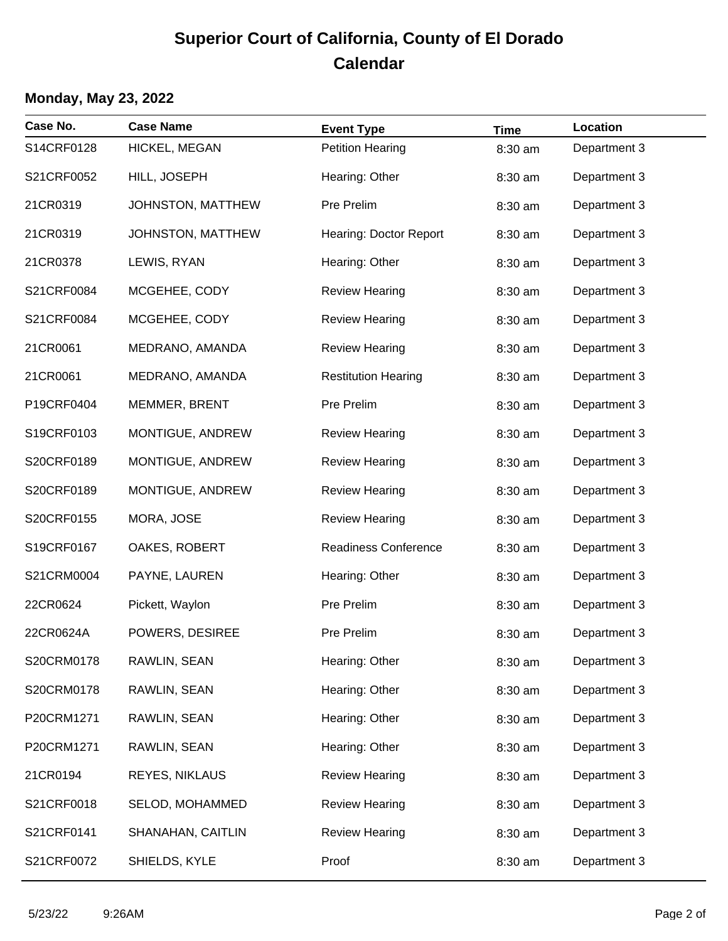## **Superior Court of California, County of El Dorado Calendar**

#### **Monday, May 23, 2022**

| Case No.   | <b>Case Name</b>      | <b>Event Type</b>           | <b>Time</b> | Location     |
|------------|-----------------------|-----------------------------|-------------|--------------|
| S14CRF0128 | HICKEL, MEGAN         | <b>Petition Hearing</b>     | 8:30 am     | Department 3 |
| S21CRF0052 | HILL, JOSEPH          | Hearing: Other              | 8:30 am     | Department 3 |
| 21CR0319   | JOHNSTON, MATTHEW     | Pre Prelim                  | 8:30 am     | Department 3 |
| 21CR0319   | JOHNSTON, MATTHEW     | Hearing: Doctor Report      | 8:30 am     | Department 3 |
| 21CR0378   | LEWIS, RYAN           | Hearing: Other              | 8:30 am     | Department 3 |
| S21CRF0084 | MCGEHEE, CODY         | <b>Review Hearing</b>       | 8:30 am     | Department 3 |
| S21CRF0084 | MCGEHEE, CODY         | <b>Review Hearing</b>       | 8:30 am     | Department 3 |
| 21CR0061   | MEDRANO, AMANDA       | <b>Review Hearing</b>       | 8:30 am     | Department 3 |
| 21CR0061   | MEDRANO, AMANDA       | <b>Restitution Hearing</b>  | 8:30 am     | Department 3 |
| P19CRF0404 | MEMMER, BRENT         | Pre Prelim                  | 8:30 am     | Department 3 |
| S19CRF0103 | MONTIGUE, ANDREW      | <b>Review Hearing</b>       | 8:30 am     | Department 3 |
| S20CRF0189 | MONTIGUE, ANDREW      | <b>Review Hearing</b>       | 8:30 am     | Department 3 |
| S20CRF0189 | MONTIGUE, ANDREW      | <b>Review Hearing</b>       | 8:30 am     | Department 3 |
| S20CRF0155 | MORA, JOSE            | <b>Review Hearing</b>       | 8:30 am     | Department 3 |
| S19CRF0167 | OAKES, ROBERT         | <b>Readiness Conference</b> | 8:30 am     | Department 3 |
| S21CRM0004 | PAYNE, LAUREN         | Hearing: Other              | 8:30 am     | Department 3 |
| 22CR0624   | Pickett, Waylon       | Pre Prelim                  | 8:30 am     | Department 3 |
| 22CR0624A  | POWERS, DESIREE       | Pre Prelim                  | 8:30 am     | Department 3 |
| S20CRM0178 | RAWLIN, SEAN          | Hearing: Other              | 8:30 am     | Department 3 |
| S20CRM0178 | RAWLIN, SEAN          | Hearing: Other              | 8:30 am     | Department 3 |
| P20CRM1271 | RAWLIN, SEAN          | Hearing: Other              | 8:30 am     | Department 3 |
| P20CRM1271 | RAWLIN, SEAN          | Hearing: Other              | 8:30 am     | Department 3 |
| 21CR0194   | <b>REYES, NIKLAUS</b> | <b>Review Hearing</b>       | 8:30 am     | Department 3 |
| S21CRF0018 | SELOD, MOHAMMED       | <b>Review Hearing</b>       | 8:30 am     | Department 3 |
| S21CRF0141 | SHANAHAN, CAITLIN     | <b>Review Hearing</b>       | 8:30 am     | Department 3 |
| S21CRF0072 | SHIELDS, KYLE         | Proof                       | 8:30 am     | Department 3 |